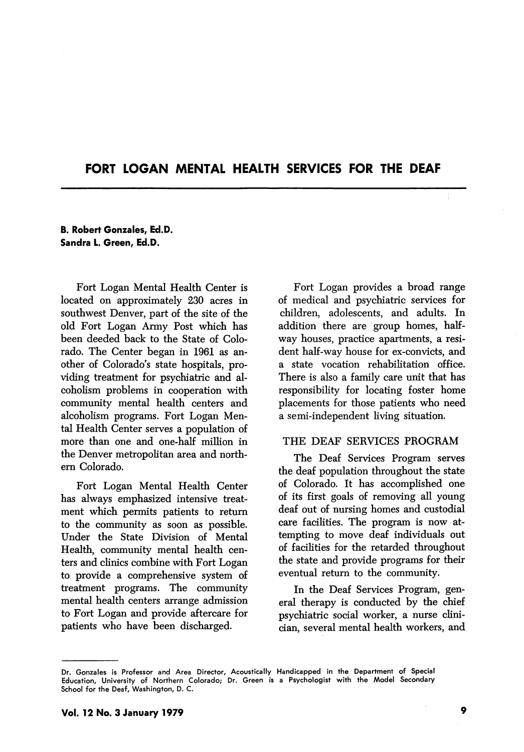# FORT LOGAN MENTAL HEALTH SERVICES FOR THE DEAF

### B. Robert Gonzales, Ed.D. Sandra L. Green, Ed.D.

Fort Logan Mental Health Center is located on approximately 230 acres in southwest Denver, part of the site of the old Fort Logan Army Post which has been deeded back to the State of Colo rado. The Center began in 1961 as an other of Colorado's state hospitals, pro viding treatment for psychiatric and al coholism problems in cooperation with community mental health centers and alcoholism programs. Fort Logan Men tal Health Center serves a population of more than one and one-half million in the Denver metropolitan area and north ern Colorado.

Fort Logan Mental Health Center has always emphasized intensive treat ment which permits patients to return to the community as soon as possible. Under the State Division of Mental Health, community mental health cen ters and clinics combine with Fort Logan to provide a comprehensive system of treatment programs. The community mental health centers arrange admission to Fort Logan and provide aftercare for patients who have been discharged.

Fort Logan provides a broad range of medical and psychiatric services for children, adolescents, and adults. In addition there are group homes, half way houses, practice apartments, a resi dent half-way house for ex-convicts, and a state vocation rehabilitation office. There is also a family care unit that has responsibility for locating foster home placements for those patients who need a semi-independent living situation.

## THE DEAF SERVICES PROGRAM

The Deaf Services Program serves the deaf population throughout the state of Colorado. It has accomplished one of its first goals of removing all young deaf out of nursing homes and custodial care facilities. The program is now at tempting to move deaf individuals out of facilities for the retarded throughout the state and provide programs for their eventual return to the community.

In the Deaf Services Program, gen eral therapy is conducted by the chief psychiatric social worker, a nurse clini cian, several mental health workers, and

Dr. Gonzaies is Professor and Area Director, Acoustically Handicapped in the Department of Special Education, University of Northern Colorado; Dr. Green is a Psychologist with the Model Secondary School for the Deaf, Washington, D. C.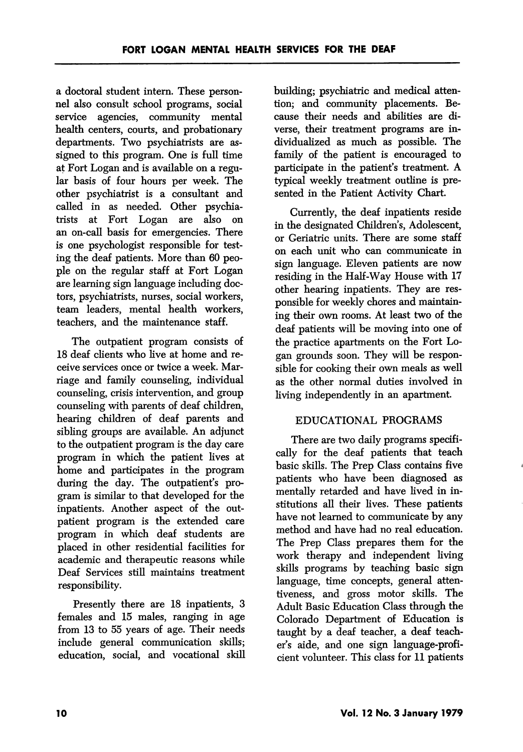a doctoral student intern. These person nel also consult school programs, social service agencies, community mental health centers, courts, and probationary departments. Two psychiatrists are as signed to this program. One is full time at Fort Logan and is available on a regu lar basis of four hours per week. The other psychiatrist is a consultant and called in as needed. Other psychia trists at Fort Logan are also on an on-call basis for emergencies. There is one psychologist responsible for test ing the deaf patients. More than 60 peo ple on the regular staff at Fort Logan are learning sign language including doc tors, psychiatrists, nurses, social workers, team leaders, mental health workers, teachers, and the maintenance staff.

The outpatient program consists of 18 deaf clients who live at home and receive services once or twice a week. Mar riage and family counseling, individual counseling, crisis intervention, and group counseling with parents of deaf children, hearing children of deaf parents and sibling groups are available. An adjunct to the outpatient program is the day care program in which the patient lives at home and participates in the program during the day. The outpatient's program is similar to that developed for the inpatients. Another aspect of the out patient program is the extended care program in which deaf students are placed in other residential facilities for academic and therapeutic reasons while Deaf Services still maintains treatment responsibility.

Presently there are 18 inpatients, 3 females and 15 males, ranging in age from 13 to 55 years of age. Their needs include general communication skills; education, social, and vocational skill building; psychiatric and medical atten tion; and community placements. Be cause their needs and abilities are di verse, their treatment programs are in dividualized as much as possible. The family of the patient is encouraged to participate in the patient's treatment. A typical weekly treatment outline is pre sented in the Patient Activity Chart.

Currently, the deaf inpatients reside in the designated Children's, Adolescent, or Geriatric units. There are some staff on each unit who can communicate in sign language. Eleven patients are now residing in the Half-Way House with 17 other hearing inpatients. They are res ponsible for weekly chores and maintain ing their ovm rooms. At least two of the deaf patients will be moving into one of the practice apartments on the Fort Lo gan grounds soon. They will be respon sible for cooking their own meals as well as the other normal duties involved in living independently in an apartment.

## EDUCATIONAL PROGRAMS

There are two daily programs specifi cally for the deaf patients that teach basic skills. The Prep Class contains five patients who have been diagnosed as mentally retarded and have lived in institutions all their lives. These patients have not learned to communicate by any method and have had no real education. The Prep Class prepares them for the work therapy and independent living skills programs by teaching basic sign language, time concepts, general attentiveness, and gross motor skills. The Adult Basic Education Class through the Colorado Department of Education is taught by a deaf teacher, a deaf teach er's aide, and one sign language-profi cient volunteer. This class for 11 patients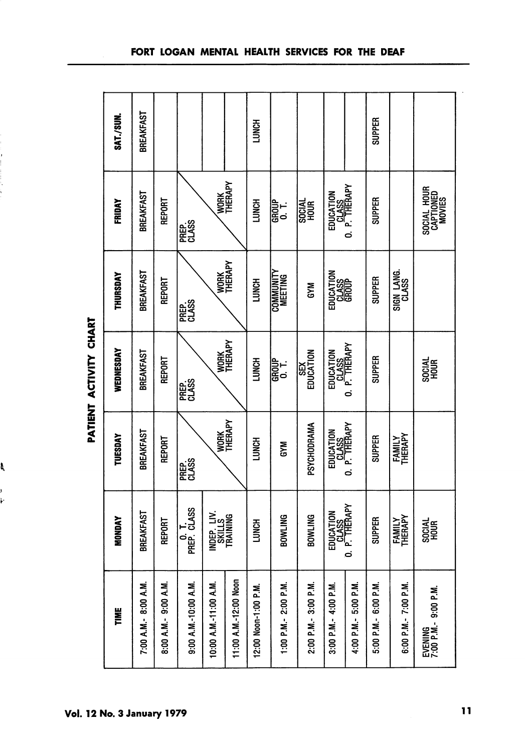| <b>SAT./SUN.</b> | BREAKFAST             |                       |                            |                                   |                       | <b>LUNCH</b>         |                             |                        |                                     |                       | <b>SUPPER</b>        |                          |                                    |
|------------------|-----------------------|-----------------------|----------------------------|-----------------------------------|-----------------------|----------------------|-----------------------------|------------------------|-------------------------------------|-----------------------|----------------------|--------------------------|------------------------------------|
| <b>FRIDAY</b>    | BREAKFAST             | REPORT                | PREP.<br>CLASS             | WORK<br>THERAPY                   |                       | <b>LUNCH</b>         | <b>GROUP</b><br>O. T.       | HOUR<br>HOUR           | EDUCATION<br>CLASS<br>O. P. THERAPY |                       | <b>SUPPER</b>        |                          | Social Hour<br>Captioned<br>Movies |
| THURSDAY         | BREAKFAST             | REPORT                | PREP.<br>CLASS             | <b>WORK</b><br>THERAPY            |                       | <b>LUNCH</b>         | <b>COMMUNITY</b><br>MEETING | GYM                    | EDUCATION<br><b>CLASS</b>           |                       | <b>SUPPER</b>        | SIGN LANG.<br>CLASS      |                                    |
| WEDNESDAY        | BREAKFAST             | REPORT                | PREP.<br>CLASS             | <b>WORK</b><br>THERAPY            |                       | <b>LUNCH</b>         | GROUP<br>0. T.              | EDUCATION<br>EDUCATION | EDUCATION<br>CLASS<br>O. P. THERAPY |                       | <b>SUPPER</b>        |                          | SOCIAL<br>HOUR                     |
| TUESDAY          | BREAKFAST             | REPORT                | PREP.<br>CLASS             | <b>WORK</b><br>THERAPY            |                       | <b>LUNCH</b>         | <b>MKS</b>                  | PSYCHODRAMA            | EDUCATION<br>CLASS<br>O. P. THERAPY |                       | <b>SUPPER</b>        | <b>FAMILY</b><br>THERAPY |                                    |
| <b>MONDAY</b>    | BREAKFAST             | <b>REPORT</b>         | PREP. CLASS<br>PREP. CLASS | INDEP, LIV.<br>Skills<br>Training |                       | <b>LUNCH</b>         | BOWLING                     | BOWLING                | EDUCATION<br>CLASS<br>O. P. THERAPY |                       | <b>SUPPER</b>        | <b>FAMILY</b><br>THERAPY | <b>SOBAL</b>                       |
| TIME             | 7:00 A.M. - 8:00 A.M. | 8:00 A.M. - 9:00 A.M. | 9:00 A.M.-10:00 A.M.       | 10:00 A.M.-11:00 A.M.             | 11:00 A.M.-12:00 Noon | 12:00 Noon-1:00 P.M. | 1:00 P.M.- 2:00 P.M.        | 2:00 P.M. - 3:00 P.M.  | 3:00 P.M.- 4:00 P.M.                | 4:00 P.M. - 5:00 P.M. | 5:00 P.M.- 6:00 P.M. | 6:00 P.M.- 7:00 P.M.     | EVENING<br>7:00 p.m.- 9:00 p.m.    |

PATIENT ACTIVITY CHART PATIENT ACTIVITY CHART

L

ļ ŀ

Vol. 12 No. 3 January 1979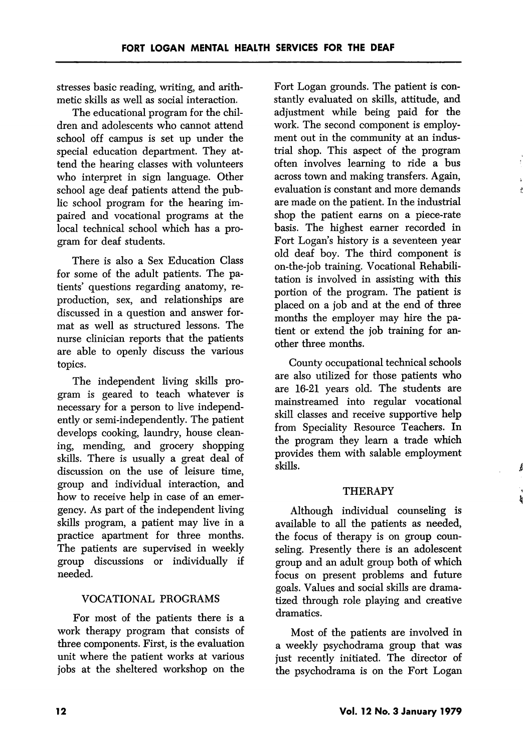stresses basic reading, writing, and arith metic skills as well as social interaction.

The educational program for the chil dren and adolescents who cannot attend school off campus is set up under the special education department. They at tend the hearing classes with volunteers who interpret in sign language. Other school age deaf patients attend the pubhe school program for the hearing im paired and vocational programs at the local technical school which has a pro gram for deaf students.

There is also a Sex Education Class for some of the adult patients. The pa tients' questions regarding anatomy, re production, sex, and relationships are discussed in a question and answer for mat as well as structured lessons. The nurse clinician reports that the patients are able to openly discuss the various topics.

The independent living skills pro gram is geared to teach whatever is necessary for a person to live independ ently or semi-independently. The patient develops cooking, laundry, house clean ing, mending, and grocery shopping skills. There is usually a great deal of discussion on the use of leisure time, group and individual interaction, and how to receive help in case of an emer gency. As part of the independent living skills program, a patient may live in a practice apartment for three months. The patients are supervised in weekly group discussions or individually if needed.

## VOCATIONAL PROGRAMS

For most of the patients there is a work therapy program that consists of three components. First, is the evaluation unit where the patient works at various jobs at the sheltered workshop on the

Fort Logan grounds. The patient is con stantly evaluated on skills, attitude, and adjustment while being paid for the work. The second component is employment out in the community at an indus trial shop. This aspect of the program often involves learning to ride a bus across town and making transfers. Again, evaluation is constant and more demands are made on the patient. In the industrial shop the patient earns on a piece-rate basis. The highest earner recorded in Fort Logan's history is a seventeen year old deaf boy. The third component is on-the-job training. Vocational Rehabili tation is involved in assisting with this portion of the program. The patient is placed on a job and at the end of three months the employer may hire the pa tient or extend the job training for another three months.

County occupational technical schools are also utihzed for those patients who are 16-21 years old. The students are mainstreamed into regular vocational skill classes and receive supportive help from Speciality Resource Teachers. In the program they learn a trade which provides them with salable employment skills.

## **THERAPY**

Á

Although individual counseling is available to all the patients as needed, the focus of therapy is on group coun seling. Presently there is an adolescent group and an adult group both of which focus on present problems and future goals. Values and social skills are drama tized through role playing and creative dramatics.

Most of the patients are involved in a weekly psychodrama group that was just recently initiated. The director of the psychodrama is on the Fort Logan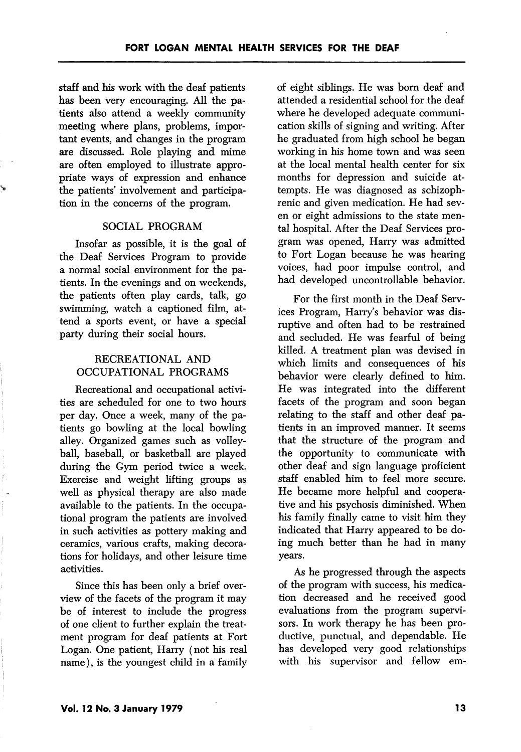staff and his work with the deaf patients has been very encouraging. All the pa tients also attend a weekly community meeting where plans, problems, impor tant events, and changes in the program are discussed. Role playing and mime are often employed to illustrate appro priate ways of expression and enhance the patients' involvement and participa tion in the concerns of the program.

### SOCIAL PROGRAM

Insofar as possible, it is the goal of the Deaf Services Program to provide a normal social environment for the pa tients. In the evenings and on weekends, the patients often play cards, talk, go swimming, watch a captioned film, at tend a sports event, or have a special party during their social hours.

## RECREATIONAL AND OCCUPATIONAL PROGRAMS

Recreational and occupational activi ties are scheduled for one to two hours per day. Once a week, many of the pa tients go bowling at the local bowling alley. Organized games such as volley ball, baseball, or basketball are played during the Gym period twice a week. Exercise and weight lifting groups as well as physical therapy are also made available to the patients. In the occupa tional program the patients are involved in such activities as pottery making and ceramics, various crafts, making decora tions for holidays, and other leisure time activities.

Since this has been only a brief over view of the facets of the program it may be of interest to include the progress of one client to further explain the treat ment program for deaf patients at Fort Logan. One patient, Harry (not his real name), is the youngest child in a family of eight siblings. He was born deaf and attended a residential school for the deaf where he developed adequate communi cation skills of signing and writing. After he graduated from high school he began working in his home town and was seen at the local mental health center for six months for depression and suicide at tempts. He was diagnosed as schizoph renic and given medication. He had sev en or eight admissions to the state men tal hospital. After the Deaf Services pro gram was opened, Harry was admitted to Fort Logan because he was hearing voices, had poor impulse control, and had developed uncontrollable behavior.

For the first month in the Deaf Serv ices Program, Harry's behavior was dis ruptive and often had to be restrained and secluded. He was fearful of being killed. A treatment plan was devised in which limits and consequences of his behavior were clearly defined to him. He was integrated into the different facets of the program and soon began relating to the staff and other deaf pa tients in an improved manner. It seems that the structure of the program and the opportunity to communicate with other deaf and sign language proficient staff enabled him to feel more secure. He became more helpful and coopera tive and his psychosis diminished. When his family finally came to visit him they indicated that Harry appeared to be do ing much better than he had in many years.

As he progressed through the aspects of the program with success, his medica tion decreased and he received good evaluations from the program supervi sors. In work therapy he has been pro ductive, punctual, and dependable. He has developed very good relationships with his supervisor and fellow em